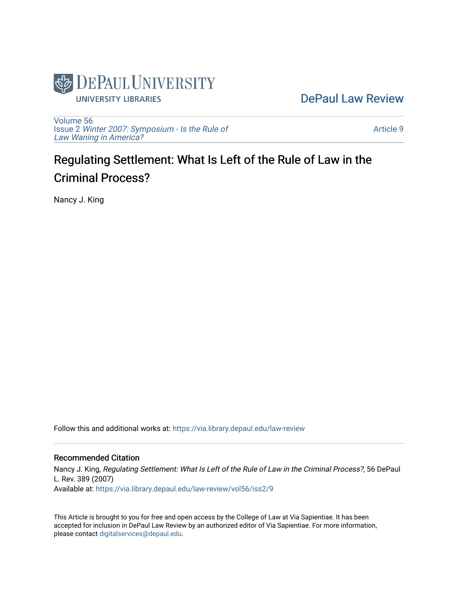

[DePaul Law Review](https://via.library.depaul.edu/law-review) 

[Volume 56](https://via.library.depaul.edu/law-review/vol56) Issue 2 [Winter 2007: Symposium - Is the Rule of](https://via.library.depaul.edu/law-review/vol56/iss2) [Law Waning in America?](https://via.library.depaul.edu/law-review/vol56/iss2) 

[Article 9](https://via.library.depaul.edu/law-review/vol56/iss2/9) 

# Regulating Settlement: What Is Left of the Rule of Law in the Criminal Process?

Nancy J. King

Follow this and additional works at: [https://via.library.depaul.edu/law-review](https://via.library.depaul.edu/law-review?utm_source=via.library.depaul.edu%2Flaw-review%2Fvol56%2Fiss2%2F9&utm_medium=PDF&utm_campaign=PDFCoverPages) 

## Recommended Citation

Nancy J. King, Regulating Settlement: What Is Left of the Rule of Law in the Criminal Process?, 56 DePaul L. Rev. 389 (2007) Available at: [https://via.library.depaul.edu/law-review/vol56/iss2/9](https://via.library.depaul.edu/law-review/vol56/iss2/9?utm_source=via.library.depaul.edu%2Flaw-review%2Fvol56%2Fiss2%2F9&utm_medium=PDF&utm_campaign=PDFCoverPages) 

This Article is brought to you for free and open access by the College of Law at Via Sapientiae. It has been accepted for inclusion in DePaul Law Review by an authorized editor of Via Sapientiae. For more information, please contact [digitalservices@depaul.edu.](mailto:digitalservices@depaul.edu)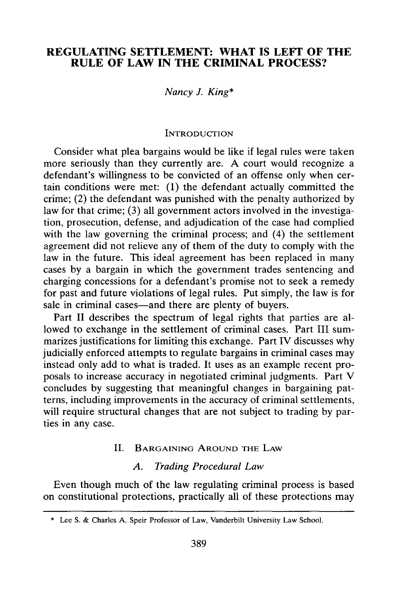# **REGULATING SETTLEMENT: WHAT IS LEFT OF THE RULE OF LAW IN THE CRIMINAL PROCESS?**

## *Nancy J. King\**

#### **INTRODUCTION**

Consider what plea bargains would be like if legal rules were taken more seriously than they currently are. **A** court would recognize a defendant's willingness to be convicted of an offense only when certain conditions were met: **(1)** the defendant actually committed the crime; (2) the defendant was punished with the penalty authorized **by** law for that crime; **(3)** all government actors involved in the investigation, prosecution, defense, and adjudication of the case had complied with the law governing the criminal process; and (4) the settlement agreement did not relieve any of them of the duty to comply with the law in the future. This ideal agreement has been replaced in many cases **by** a bargain in which the government trades sentencing and charging concessions for a defendant's promise not to seek a remedy for past and future violations of legal rules. Put simply, the law is for sale in criminal cases—and there are plenty of buyers.

Part **II** describes the spectrum of legal rights that parties are allowed to exchange in the settlement of criminal cases. Part **III** summarizes justifications for limiting this exchange. Part IV discusses why judicially enforced attempts to regulate bargains in criminal cases may instead only add to what is traded. It uses as an example recent proposals to increase accuracy in negotiated criminal judgments. Part V concludes **by** suggesting that meaningful changes in bargaining patterns, including improvements in the accuracy of criminal settlements, will require structural changes that are not subject to trading **by** parties in any case.

#### **II.** BARGAINING AROUND THE LAW

#### *A. Trading Procedural Law*

Even though much of the law regulating criminal process is based on constitutional protections, practically all of these protections may

**<sup>\*</sup>** Lee **S.** & Charles **A.** Speir Professor of Law, Vanderbilt University Law School.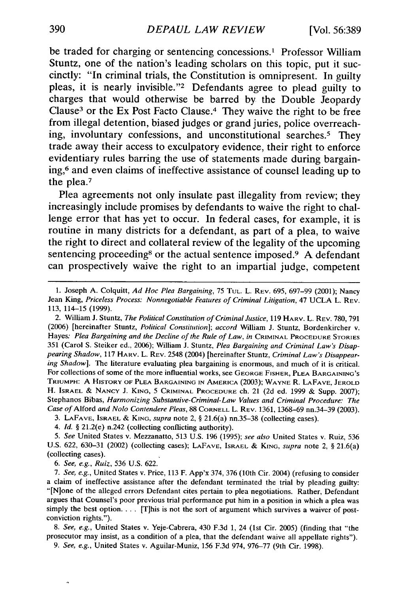be traded for charging or sentencing concessions.' Professor William Stuntz, one of the nation's leading scholars on this topic, put it succinctly: "In criminal trials, the Constitution is omnipresent. In guilty pleas, it is nearly invisible."<sup>2</sup> Defendants agree to plead guilty to charges that would otherwise be barred **by** the Double Jeopardy Clause<sup>3</sup> or the Ex Post Facto Clause.<sup>4</sup> They waive the right to be free from illegal detention, biased judges or grand juries, police overreaching, involuntary confessions, and unconstitutional searches.<sup>5</sup> They trade away their access to exculpatory evidence, their right to enforce evidentiary rules barring the use of statements made during bargaining,6 and even claims of ineffective assistance of counsel leading up to the plea.<sup>7</sup>

Plea agreements not only insulate past illegality from review; they increasingly include promises **by** defendants to waive the right to challenge error that has yet to occur. In federal cases, for example, it is routine in many districts for a defendant, as part of a plea, to waive the right to direct and collateral review of the legality of the upcoming sentencing proceeding<sup>8</sup> or the actual sentence imposed.<sup>9</sup> A defendant can prospectively waive the right to an impartial judge, competent

*6. See, e.g., Ruiz,* 536 U.S. 622.

 $\ddot{\phantom{0}}$ 

*7. See, e.g.,* United States v. Price, 113 F. App'x 374, 376 (10th Cir. 2004) (refusing to consider a claim of ineffective assistance after the defendant terminated the trial by pleading guilty: "[Nione of the alleged errors Defendant cites pertain to plea negotiations. Rather, Defendant argues that Counsel's poor previous trial performance put him in a position in which a plea was simply the best option. . . . [T]his is not the sort of argument which survives a waiver of postconviction rights.").

*8. See, e.g.,* United States v. Yeje-Cabrera, 430 F.3d 1, 24 (1st Cir. 2005) (finding that "the prosecutor may insist, as a condition of a plea, that the defendant waive all appellate rights").

*9. See, e.g.,* United States v. Aguilar-Muniz, 156 F.3d 974, 976-77 (9th Cir. 1998).

<sup>1.</sup> Joseph A. Colquitt, *Ad Hoc Plea Bargaining,* 75 **TUL.** L. REV. 695, 697-99 (2001); Nancy Jean King, Priceless Process: Nonnegotiable Features of Criminal Litigation, 47 UCLA L. REV. 113, 114-15 (1999).

<sup>2.</sup> William J. Stuntz, *The Political Constitution of Criminal Justice,* 119 HARV. L. REV. 780, 791 (2006) [hereinafter Stuntz, *Political Constitution]; accord* William J. Stuntz, Bordenkircher v. Hayes: *Plea Bargaining and the Decline of the Rule of Law, in CRIMINAL PROCEDURE STORIES* 351 (Carol S. Steiker ed., 2006); William J. Stuntz, *Plea Bargaining and Criminal Law's Disappearing Shadow,* 117 HARV. L. REV. 2548 (2004) [hereinafter Stuntz, *Criminal Law's Disappearing Shadow].* The literature evaluating plea bargaining is enormous, and much of it is critical. For collections of some of the more influential works, see **GEORGE** FISHER, **PLEA** BARGAINING'S **TRIUMPH:** A HISTORY **OF PLEA** BARGAINING **IN AMERICA** (2003); **WAYNE** R. **LAFAVE, JEROLD** H. ISRAEL **& NANCY J. KING,** 5 CRIMINAL PROCEDURE ch. 21 (2d ed. 1999 & Supp. 2007); Stephanos Bibas, *Harmonizing Substantive-Criminal-Law Values and Criminal Procedure: The Case of* Alford *and* Nolo *Contendere Pleas,* 88 CORNELL L. REV. 1361, 1368-69 nn.34-39 (2003).

<sup>3.</sup> **LAFAVE,** ISRAEL & **KING,** *supra* note 2, § 21.6(a) nn.35-38 (collecting cases).

*<sup>4.</sup> Id.* § 21.2(e) n.242 (collecting conflicting authority).

*<sup>5.</sup> See* United States v. Mezzanatto, 513 U.S. 196 (1995); *see also* United States v. Ruiz, 536 U.S. 622, 630-31 (2002) (collecting cases); **LAFAVE,** ISRAEL & **KING,** *supra* note 2, § 21.6(a) (collecting cases).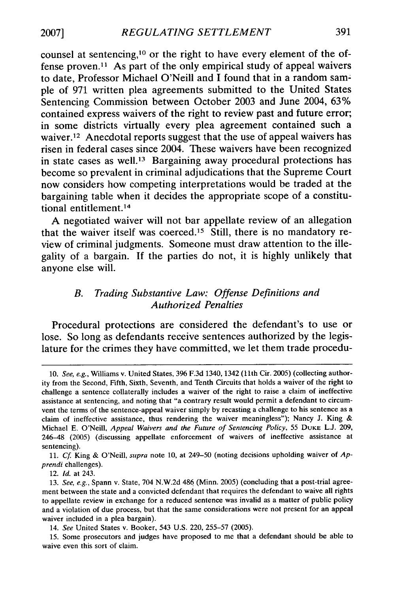**2007]**

counsel at sentencing,<sup>10</sup> or the right to have every element of the offense proven.<sup>11</sup> As part of the only empirical study of appeal waivers to date, Professor Michael O'Neill and I found that in a random sample of **971** written plea agreements submitted to the United States Sentencing Commission between October **2003** and June 2004, **63%** contained express waivers of the right to review past and future error; in some districts virtually every plea agreement contained such a waiver.<sup>12</sup> Anecdotal reports suggest that the use of appeal waivers has risen in federal cases since 2004. These waivers have been recognized in state cases as well.<sup>13</sup> Bargaining away procedural protections has become so prevalent in criminal adjudications that the Supreme Court now considers how competing interpretations would be traded at the bargaining table when it decides the appropriate scope of a constitutional entitlement.<sup>14</sup>

**A** negotiated waiver will not bar appellate review of an allegation that the waiver itself was coerced.<sup>15</sup> Still, there is no mandatory review of criminal judgments. Someone must draw attention to the illegality of a bargain. **If** the parties do not, it is **highly** unlikely that anyone else will.

## *B. Trading Substantive Law: Offense Definitions and Authorized Penalties*

Procedural protections are considered the defendant's to use or lose. So long as defendants receive sentences authorized **by** the legislature for the crimes they have committed, we let them trade procedu-

**<sup>10.</sup>** *See, e.g.,* Williams v. United States, **396 F.3d** 1340, 1342 (11th Cir. **2005)** (collecting authority from the Second, Fifth, Sixth, Seventh, and Tenth Circuits that holds a waiver of the right to challenge a sentence collaterally includes a waiver of the right to raise a claim of ineffective assistance at sentencing, and noting that "a contrary result would permit a defendant to circumvent the terms of the sentence-appeal waiver simply **by** recasting a challenge to his sentence as a claim of ineffective assistance, thus rendering the waiver meaningless"); Nancy **J.** King **&** Michael **E.** O'Neill, *Appeal Waivers and the Future of Sentencing Policy,* **55 DUKE L.J. 209,** 246-48 **(2005)** (discussing appellate enforcement of waivers of ineffective assistance at sentencing).

**<sup>11.</sup>** *Cf* King **&** O'Neill, *supra* note **10,** at 249-50 (noting decisions upholding waiver of *Apprendi* challenges).

<sup>12.</sup> *Id.* at 243.

**<sup>13.</sup>** *See, e.g.,* Spann v. State, 704 **N.W.2d** 486 (Minn. **2005)** (concluding that a post-trial agreement between the state and a convicted defendant that requires the defendant to waive **all** rights to appellate review in exchange for a reduced sentence was invalid as a matter of public policy and a violation of due process, but that the same considerations were not present for an appeal waiver included in a plea bargain).

<sup>14.</sup> *See* United States v. Booker, 543 **U.S.** 220, **255-57 (2005).**

**<sup>15.</sup>** Some prosecutors and judges have proposed to me that a defendant should be able to waive even this sort of claim.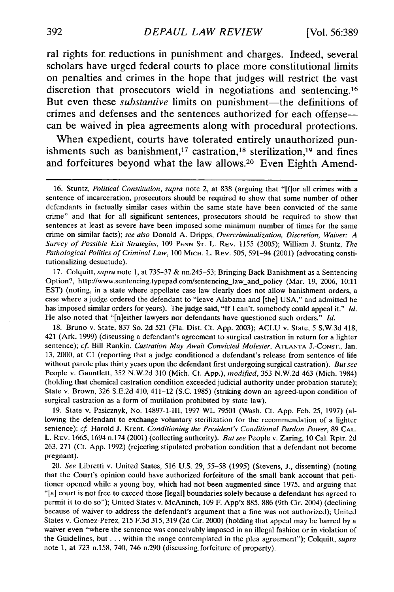ral rights for reductions in punishment and charges. Indeed, several scholars have urged federal courts to place more constitutional limits on penalties and crimes in the hope that judges will restrict the vast discretion that prosecutors wield in negotiations and sentencing.<sup>16</sup> But even these *substantive* limits on punishment—the definitions of crimes and defenses and the sentences authorized for each offensecan be waived in plea agreements along with procedural protections.

When expedient, courts have tolerated entirely unauthorized punishments such as banishment,<sup>17</sup> castration,<sup>18</sup> sterilization,<sup>19</sup> and fines and forfeitures beyond what the law allows.<sup>20</sup> Even Eighth Amend-

17. Colquitt, *supra* note **1,** at 735-37 & nn.245-53; Bringing Back Banishment as a Sentencing Option?, http://www.sentencing.typepad.com/sentencing-law-and-policy (Mar. 19, 2006, 10:11 EST) (noting, in a state where appellate case law clearly does not allow banishment orders, a case where a judge ordered the defendant to "leave Alabama and [the] USA," and admitted he has imposed similar orders for years). The judge said, "If I can't, somebody could appeal it." *Id.* He also noted that "[n]either lawyers nor defendants have questioned such orders." *Id.*

18. Bruno v. State, 837 So. 2d 521 (Fla. Dist. Ct. App. 2003); ACLU v. State, 5 S.W.3d 418, 421 (Ark. 1999) (discussing a defendant's agreement to surgical castration in return for a lighter sentence); *cf.* Bill Rankin, *Castration May Await Convicted Molester,* ATLANTA J.-CONST., Jan. **13,** 2000, at **C1** (reporting that a judge conditioned a defendant's release from sentence of life without parole plus thirty years upon the defendant first undergoing surgical castration). *But see* People v. Gauntlett, 352 N.W.2d 310 (Mich. Ct. App.), *modified,* 353 N.W.2d 463 (Mich. 1984) (holding that chemical castration condition exceeded judicial authority under probation statute); State v. Brown, 326 S.E.2d 410, 411-12 (S.C. 1985) (striking down an agreed-upon condition of surgical castration as a form of mutilation prohibited by state law).

19. State v. Pasicznyk, No. 14897-1-Il, 1997 WL 79501 (Wash. Ct. App. Feb. 25, 1997) (allowing the defendant to exchange voluntary sterilization for the recommendation of a lighter sentence); *cf* Harold **J.** Krent, *Conditioning the President's Conditional Pardon Power,* 89 CAL. L. REV. 1665, 1694 n.174 (2001) (collecting authority). *But see* People v. Zaring, 10 Cal. Rptr. 2d 263, 271 (Ct. App. 1992) (rejecting stipulated probation condition that a defendant not become pregnant).

20. *See* Libretti v. United States, 516 U.S. 29, 55-58 (1995) (Stevens, J., dissenting) (noting that the Court's opinion could have authorized forfeiture of the small bank account that petitioner opened while a young boy, which had not been augmented since 1975, and arguing that "[a] court is not free to exceed those [legal] boundaries solely because a defendant has agreed to permit it to do so"); United States v. McAninch, 109 F. App'x 885, 886 (9th Cir. 2004) (declining because of waiver to address the defendant's argument that a fine was not authorized); United States v. Gomez-Perez, 215 F.3d 315, 319 (2d Cir. 2000) (holding that appeal may be barred by a waiver even "where the sentence was conceivably imposed in an illegal fashion or in violation of the Guidelines, but **...** within the range contemplated in the plea agreement"); Colquitt, *supra* note 1, at 723 n.158, 740, 746 n.290 (discussing. forfeiture of property).

<sup>16.</sup> Stuntz, *Political Constitution, supra* note 2, at 838 (arguing that "[flor all crimes with a sentence of incarceration, prosecutors should be required to show that some number of other defendants in factually similar cases within the same state have been convicted of the same crime" and that for all significant sentences, prosecutors should be required to show that sentences at least as severe have been imposed some minimum number of times for the same crime on similar facts), *see also* Donald A. Dripps, *Overcriminalization, Discretion, Waiver: A Survey of Possible Exit Strategies,* 109 PENN ST. L. REV. 1155 (2005); William J. Stuntz, *The Pathological Politics of Criminal Law,* 100 MICH. L. REV. 505, 591-94 (2001) (advocating constitutionalizing desuetude).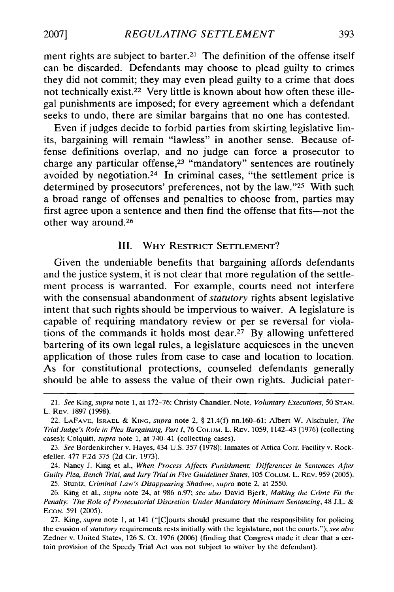ment rights are subject to barter.<sup>21</sup> The definition of the offense itself can be discarded. Defendants may choose to plead guilty to crimes they did not commit; they may even plead guilty to a crime that does not technically exist.<sup>22</sup> Very little is known about how often these illegal punishments are imposed; for every agreement which a defendant seeks to undo, there are similar bargains that no one has contested.

Even if judges decide to forbid parties from skirting legislative limits, bargaining will remain "lawless" in another sense. Because offense definitions overlap, and no judge can force a prosecutor to charge any particular offense,<sup>23</sup> "mandatory" sentences are routinely avoided by negotiation.24 In criminal cases, "the settlement price is determined by prosecutors' preferences, not by the law."25 With such a broad range of offenses and penalties to choose from, parties may first agree upon a sentence and then find the offense that fits-not the other way around.<sup>26</sup>

### III. WHY RESTRICT SETrLEMENT?

Given the undeniable benefits that bargaining affords defendants and the justice system, it is not clear that more regulation of the settlement process is warranted. For example, courts need not interfere with the consensual abandonment of *statutory* rights absent legislative intent that such rights should be impervious to waiver. A legislature is capable of requiring mandatory review or per se reversal for violations of the commands it holds most dear.<sup>27</sup> By allowing unfettered bartering of its own legal rules, a legislature acquiesces in the uneven application of those rules from case to case and location to location. As for constitutional protections, counseled defendants generally should be able to assess the value of their own rights. Judicial pater-

24. Nancy **J.** King et al., *When Process Affects Punishment: Differences in Sentences After Guilty Plea, Bench Trial, and Jury Trial in Five Guidelines States,* 105 **COLUM.** L. REV. 959 (2005). 25. Stuntz, *Criminal Law's Disappearing Shadow, supra* note 2, at 2550.

<sup>21.</sup> *See* King, *supra* note 1, at 172-76; Christy Chandler, Note, *Voluntary* Executions, **50 STAN.** L. REV. 1897 (1998).

<sup>22.</sup> **LAFAVE.** ISRAEL **& KING,** supra note 2, § 21.4(f) nn.160-61; Albert W. Alschuler, The *Trial Judge's Role in Plea Bargaining, Part I,* 76 COLUM. L. REV. 1059, 1142-43 (1976) (collecting cases); Colquitt, *supra* note **1.** at 740-41 (collecting cases).

<sup>23.</sup> *See* Bordenkircher v. Hayes, 434 U.S. 357 (1978); Inmates of Attica Corr. Facility v. Rockefeller. 477 F.2d 375 (2d Cir. 1973).

<sup>26.</sup> King et al., *supra* note 24, at 986 n.97; *see also* David Bjerk, *Making the Crime Fit the* Penalty: The *Role of Prosecutorial Discretion Under Mandatory Minimum Sentencing,* 48 J.L. **& ECON.** 591 (2005).

<sup>27.</sup> King, *supra* note 1, at 141 ("[Clourts should presume that the responsibility for policing the evasion of statutory requirements rests initially with the legislature, not the courts."); *see also* Zedner v. United States, 126 **S.** Ct. 1976 (2006) (finding that Congress made it clear that a certain provision of the Speedy Trial Act was not subject to waiver by the defendant).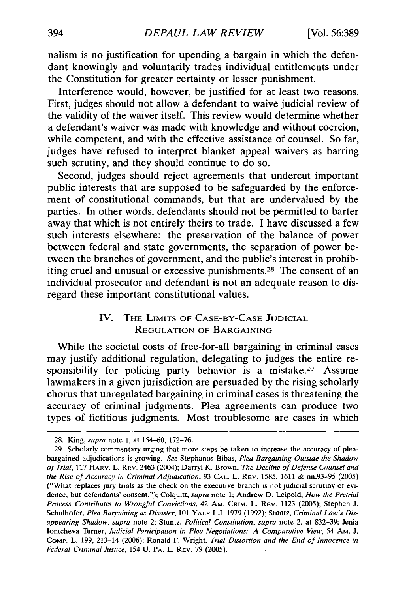nalism is no justification for upending a bargain in which the defendant knowingly and voluntarily trades individual entitlements under the Constitution for greater certainty or lesser punishment.

Interference would, however, be justified for at least two reasons. First, judges should not allow a defendant to waive judicial review of the validity of the waiver itself. This review would determine whether a defendant's waiver was made with knowledge and without coercion, while competent, and with the effective assistance of counsel. So far, judges have refused to interpret blanket appeal waivers as barring such scrutiny, and they should continue to do so.

Second, judges should reject agreements that undercut important public interests that are supposed to be safeguarded by the enforcement of constitutional commands, but that are undervalued by the parties. In other words, defendants should not be permitted to barter away that which is not entirely theirs to trade. I have discussed a few such interests elsewhere: the preservation of the balance of power between federal and state governments, the separation of power between the branches of government, and the public's interest in prohibiting cruel and unusual or excessive punishments.28 The consent of an individual prosecutor and defendant is not an adequate reason to disregard these important constitutional values.

# IV. THE LIMITS OF **CASE-BY-CASE JUDICIAL REGULATION** OF **BARGAINING**

While the societal costs of free-for-all bargaining in criminal cases may justify additional regulation, delegating to judges the entire responsibility for policing party behavior is a mistake.<sup>29</sup> Assume lawmakers in a given jurisdiction are persuaded by the rising scholarly chorus that unregulated bargaining in criminal cases is threatening the accuracy of criminal judgments. Plea agreements can produce two types of fictitious judgments. Most troublesome are cases in which

<sup>28.</sup> King, supra note 1, at 154-60, 172-76.

<sup>29.</sup> Scholarly commentary urging that more steps be taken to increase the accuracy of pleabargained adjudications is growing. See Stephanos Bibas, Plea *Bargaining Outside the Shadow of Trial,* 117 HARV. L. REV. 2463 (2004); Darryl K. Brown, *The Decline of Defense Counsel and the* Rise of *Accuracy in* Criminal *Adjudication,* 93 **CAL.** L. REV. **1585, 1611 &** nn.93-95 (2005) ("What replaces jury trials as the check on the executive branch is not judicial scrutiny of evidence, but defendants' consent."); Colquitt, *supra* note 1; Andrew D. Leipold, *How the Pretrial Process Contributes to Wrongful Convictions,* 42 AM. CRiM. L. REV. 1123 (2005); Stephen J. Schulhofer, *Plea Bargaining as Disaster,* 101 YALE **L.J.** 1979 (1992); Stuntz, *Criminal Law's Disappearing Shadow, supra* note 2; Stuntz, *Political Constitution, supra* note 2, at 832-39; Jenia lontcheva Turner, *Judicial Participation in Plea Negotiations: A Comparative View,* 54 AM. **J.** COMP. L. 199, 213-14 (2006); Ronald F. Wright, *Trial Distortion and the End of Innocence in Federal Criminal Justice,* 154 U. PA. L. REV. 79 (2005).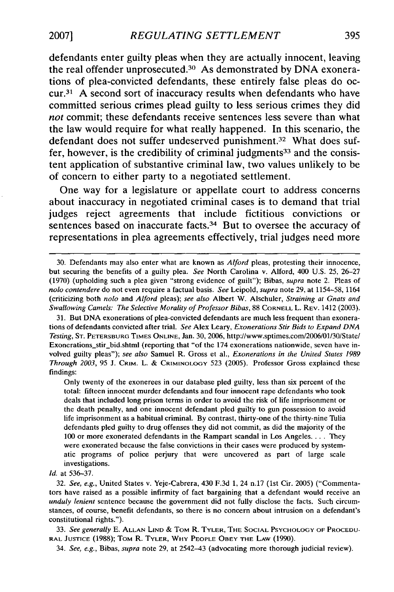defendants enter guilty pleas when they are actually innocent, leaving the real offender unprosecuted. 30 As demonstrated **by DNA** exonerations of plea-convicted defendants, these entirely false pleas do occur.31 **A** second sort of inaccuracy results when defendants who have committed serious crimes plead guilty to less serious crimes they did *not* commit; these defendants receive sentences less severe than what the law would require for what really happened. In this scenario, the defendant does not suffer undeserved punishment.<sup>32</sup> What does suffer, however, is the credibility of criminal judgments<sup>33</sup> and the consistent application of substantive criminal law, two values unlikely to be of concern to either party to a negotiated settlement.

One way for a legislature or appellate court to address concerns about inaccuracy in negotiated criminal cases is to demand that trial judges reject agreements that include fictitious convictions or sentences based on inaccurate facts.<sup>34</sup> But to oversee the accuracy of representations in plea agreements effectively, trial judges need more

31. But DNA exonerations of plea-convicted defendants are much less frequent than exonerations of defendants convicted after trial. *See* Alex Leary, *Exonerations Stir Bids to Expand DNA Testing,* ST. PETERSBURG TIMES ONLINE, Jan. 30, 2006, http:/Iwww.sptimes.com/2006/01/30/State/ Exonerations\_stir\_bid.shtml (reporting that "of the 174 exonerations nationwide, seven have involved guilty pleas"); *see also* Samuel R. Gross et al., *Exonerations in the United States 1989 Through 2003,* 95 **J.** CRIM. L. & CRIMINOLOGY 523 (2005). Professor Gross explained these findings:

Only twenty of the exonerees in our database pled guilty, less than six percent of the total: fifteen innocent murder defendants and four innocent rape defendants who took deals that included long prison terms in order to avoid the risk of life imprisonment or the death penalty, and one innocent defendant pled guilty to gun possession to avoid life imprisonment as a habitual criminal. By contrast, thirty-one of the thirty-nine Tulia defendants pled guilty to drug offenses they did not commit, as did the majority of the 100 or more exonerated defendants in the Rampart scandal in Los Angeles .... They were exonerated because the false convictions in their cases were produced by systematic programs of police perjury that were uncovered as part of large scale investigations.

*Id.* at 536-37.

32. *See, e.g.,* United States v. Yeje-Cabrera, 430 F.3d 1, 24 n.17 (1st Cir. 2005) ("Commentators have raised as a possible infirmity of fact bargaining that a defendant would receive an *unduly lenient* sentence because the government did not fully disclose the facts. Such circumstances, of course, benefit defendants, so there is no concern about intrusion on a defendant's constitutional rights.").

33. See *generally* E. **ALLAN LIND** & TOM R. TYLER, THE SOCIAL PSYCHOLOGY OF **PROCEDU-**RAL **JUSTICE** (1988); TOM R. TYLER, WHY PEOPLE OBEY THE LAW (1990).

34. *See, e.g.,* Bibas, *supra* note 29, at 2542-43 (advocating more thorough judicial review).

<sup>30.</sup> Defendants may also enter what are known as *Alford* pleas, protesting their innocence, but securing the benefits of a guilty plea. *See* North Carolina v. Alford, 400 U.S. **25,** 26-27 (1970) (upholding such a plea given "strong evidence of guilt"); Bibas, *supra* note 2. Pleas of *nolo contendere* do not even require a factual basis. *See* Leipold, *supra* note 29, at 1154-58, 1164 (criticizing both *nolo* and *Alford* pleas); *see also* Albert W. Alschuler, *Straining at Gnats and Swallowing Camels: The Selective Morality of Professor Bibas,* 88 CORNELL L. REV. 1412 (2003).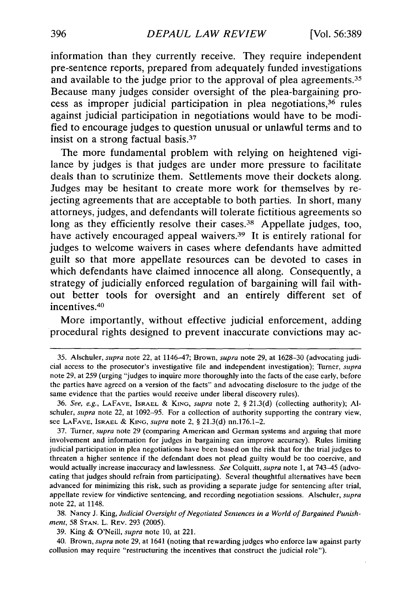information than they currently receive. They require independent pre-sentence reports, prepared from adequately funded investigations and available to the judge prior to the approval of plea agreements.<sup>35</sup> Because many judges consider oversight of the plea-bargaining process as improper judicial participation in plea negotiations, 36 rules against judicial participation in negotiations would have to be modified to encourage judges to question unusual or unlawful terms and to insist on a strong factual basis.<sup>37</sup>

The more fundamental problem with relying on heightened vigilance **by** judges is that judges are under more pressure to facilitate deals than to scrutinize them. Settlements move their dockets along. Judges may be hesitant to create more work for themselves **by** rejecting agreements that are acceptable to both parties. In short, many attorneys, judges, and defendants will tolerate fictitious agreements so long as they efficiently resolve their cases.<sup>38</sup> Appellate judges, too, have actively encouraged appeal waivers.<sup>39</sup> It is entirely rational for judges to welcome waivers in cases where defendants have admitted guilt so that more appellate resources can be devoted to cases in which defendants have claimed innocence all along. Consequently, a strategy of judicially enforced regulation of bargaining will fail without better tools for oversight and an entirely different set of incentives.<sup>40</sup>

More importantly, without effective judicial enforcement, adding procedural rights designed to prevent inaccurate convictions may ac-

**38.** Nancy **J.** King, *Judicial Oversight of Negotiated Sentences in a World of Bargained Punishment,* **58 STAN.** L. **REv. 293 (2005).**

**39.** King **&** O'Neill, *supra* note **10,** at 221.

40. Brown, *supra* note **29,** at 1641 (noting that rewarding judges who enforce law against party collusion may require "restructuring the incentives that construct the judicial role").

**<sup>35.</sup>** Alschuler, *supra* note 22, at 1146-47; Brown, *supra* note **29,** at **1628-30** (advocating judicial access to the prosecutor's investigative file and independent investigation); Turner, *supra* note **29,** at **259** (urging "judges to inquire more thoroughly into the facts of the case early, before the parties have agreed on a version of the facts" and advocating disclosure to the judge of the same evidence that the parties would receive under liberal discovery rules).

**<sup>36.</sup>** *See, e.g.,* **LAFAVE, ISRAEL & KING,** *supra* note 2, **§ 21.3(d)** (collecting authority); **Al**schuler, *supra* note 22, at **1092-95.** For a collection of authority supporting the contrary view, see **LAFAVE, ISRAEL & KING,** *supra* note 2, **§ 21.3(d)** nn.176.1-2.

**<sup>37.</sup>** Turner, *supra* note **29** (comparing American and German systems and arguing that more involvement and information for judges in bargaining can improve accuracy). Rules limiting judicial participation in plea negotiations have been based on the risk that **for** the trial judges to threaten a higher sentence if the defendant does not plead guilty would be too coercive, and would actually increase inaccuracy and lawlessness. *See* Colquitt, *supra* note **1,** at 743-45 (advocating that judges should refrain from participating). Several thoughtful alternatives have been advanced for minimizing this risk, such as providing a separate judge for sentencing after trial, appellate review for vindictive sentencing, and recording negotiation sessions. Alschuler, *supra* note 22, at 1148.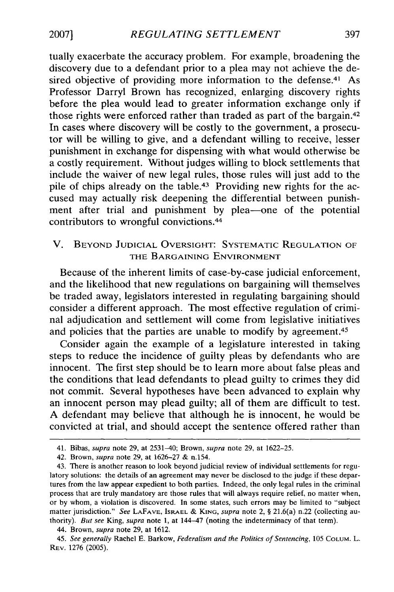tually exacerbate the accuracy problem. For example, broadening the discovery due to a defendant prior to a plea may not achieve the desired objective of providing more information to the defense.<sup>41</sup> As Professor Darryl Brown has recognized, enlarging discovery rights before the plea would lead to greater information exchange only if those rights were enforced rather than traded as part of the bargain. <sup>42</sup> In cases where discovery will be costly to the government, a prosecutor will be willing to give, and a defendant willing to receive, lesser punishment in exchange for dispensing with what would otherwise be a costly requirement. Without judges willing to block settlements that include the waiver of new legal rules, those rules will just add to the pile of chips already on the table.<sup>43</sup> Providing new rights for the accused may actually risk deepening the differential between punishment after trial and punishment by plea-one of the potential contributors to wrongful convictions. <sup>44</sup>

## V. BEYOND JUDICIAL OVERSIGHT: SYSTEMATIC REGULATION OF THE BARGAINING ENVIRONMENT

Because of the inherent limits of case-by-case judicial enforcement, and the likelihood that new regulations on bargaining will themselves be traded away, legislators interested in regulating bargaining should consider a different approach. The most effective regulation of criminal adjudication and settlement will come from legislative initiatives and policies that the parties are unable to modify by agreement.<sup>45</sup>

Consider again the example of a legislature interested in taking steps to reduce the incidence of guilty pleas by defendants who are innocent. The first step should be to learn more about false pleas and the conditions that lead defendants to plead guilty to crimes they did not commit. Several hypotheses have been advanced to explain why an innocent person may plead guilty; all of them are difficult to test. A defendant may believe that although he is innocent, he would be convicted at trial, and should accept the sentence offered rather than

397

**20071**

<sup>41.</sup> Bibas, *supra* note 29, at 2531-40; Brown, *supra* note **29,** at 1622-25.

<sup>42.</sup> Brown, *supra* note 29, at 1626-27 & n.154.

<sup>43.</sup> There is another reason to look beyond judicial review of individual settlements for regulatory solutions: the details of an agreement may never be disclosed to the judge if these departures from the law appear expedient to both parties. Indeed, the only legal rules in the criminal process that are truly mandatory are those rules that will always require relief, no matter when, or by whom, a violation is discovered. In some states, such errors may be limited to "subject matter jurisdiction." *See* **LAFAVE,** ISRAEL & **KING,** *supra* note 2, § 21.6(a) n.22 (collecting authority). But *see* King, *supra* note 1, at 144-47 (noting the indeterminacy of that term).

<sup>44.</sup> Brown, *supra* note 29, at 1612.

<sup>45.</sup> *See generally* Rachel E. Barkow, *Federalism and the Politics of Sentencing,* 105 **COLUM.** L. REv. 1276 (2005).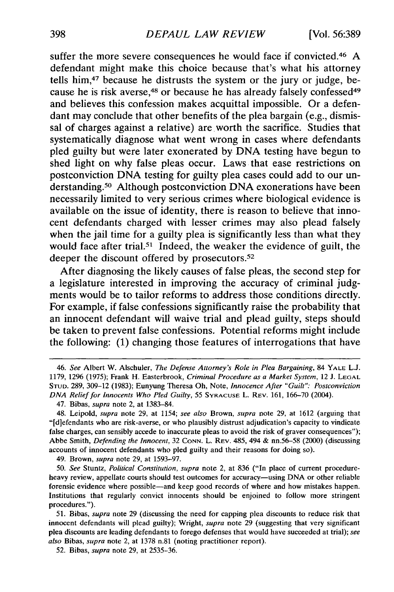suffer the more severe consequences he would face if convicted. <sup>46</sup>**A** defendant might make this choice because that's what his attorney tells him,47 because he distrusts the system or the jury or judge, because he is risk averse,<sup>48</sup> or because he has already falsely confessed<sup>49</sup> and believes this confession makes acquittal impossible. Or a defendant may conclude that other benefits of the plea bargain (e.g., dismissal of charges against a relative) are worth the sacrifice. Studies that systematically diagnose what went wrong in cases where defendants pled guilty but were later exonerated **by DNA** testing have begun to shed light on why false pleas occur. Laws that ease restrictions on postconviction **DNA** testing for guilty plea cases could add to our understanding.50 Although postconviction **DNA** exonerations have been necessarily limited to very serious crimes where biological evidence is available on the issue of identity, there is reason to believe that innocent defendants charged with lesser crimes may also plead falsely when the jail time for a guilty plea is significantly less than what they would face after trial.<sup>51</sup> Indeed, the weaker the evidence of guilt, the deeper the discount offered **by** prosecutors. <sup>52</sup>

After diagnosing the likely causes of false pleas, the second step for a legislature interested in improving the accuracy of criminal **judg**ments would be to tailor reforms to address those conditions directly. For example, if false confessions significantly raise the probability that an innocent defendant will waive trial and plead guilty, steps should be taken to prevent false confessions. Potential reforms might include the following: **(1)** changing those features of interrogations that have

49. Brown, *supra* note 29, at 1593-97.

*<sup>46.</sup> See* Albert W. Alschuler, *The Defense Attorney's Role in Plea Bargaining,* 84 YALE L.J. 1179, 1296 (1975); Frank H. Easterbrook, *Criminal Procedure as a Market System,* 12 J. LEGAL **STUD.** 289, 309-12 (1983); Eunyung Theresa Oh, Note, *Innocence After* "Guilt": *Postconviction DNA Relief for Innocents Who Pled Guilty,* 55 **SYRACUSE** L. REV. 161, 166-70 (2004).

<sup>47.</sup> Bibas, *supra* note 2, at 1383-84.

<sup>48.</sup> Leipold, *supra* note 29, at 1154; *see also* Brown, *supra* note 29, at 1612 (arguing that "[diefendants who are risk-averse, or who plausibly distrust adjudication's capacity to vindicate false charges, can sensibly accede to inaccurate pleas to avoid the risk of graver consequences"); Abbe Smith, *Defending the Innocent,* 32 **CONN.** L. REV. 485, 494 & nn.56-58 (2000) (discussing accounts of innocent defendants who pled guilty and their reasons for doing so).

*<sup>50.</sup> See* Stuntz, *Political Constitution, supra* note 2, at 836 ("In place of current procedureheavy review, appellate courts should test outcomes for accuracy—using DNA or other reliable forensic evidence where possible-and keep good records of where and how mistakes happen. Institutions that regularly convict innocents should be enjoined to follow more stringent procedures.").

<sup>51.</sup> Bibas, *supra* note 29 (discussing the need for capping plea discounts to reduce risk that innocent defendants will plead guilty); Wright, *supra* note **29** (suggesting that very significant plea discounts are leading defendants to forego defenses that would have succeeded at trial); *see also* Bibas, *supra* note 2, at 1378 n.81 (noting practitioner report).

<sup>52.</sup> Bibas, *supra* note 29, at 2535-36.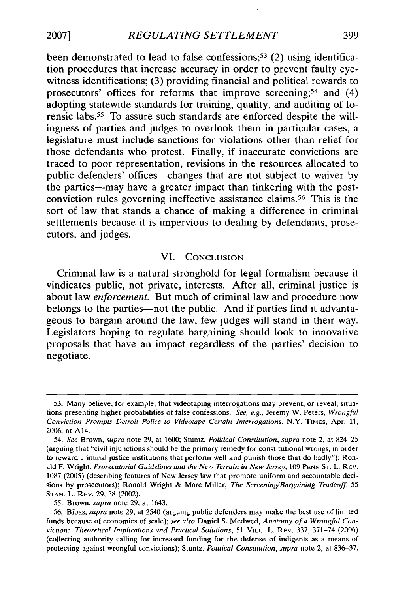been demonstrated to lead to false confessions;<sup>53</sup> (2) using identification procedures that increase accuracy in order to prevent faulty eyewitness identifications; **(3)** providing financial and political rewards to prosecutors' offices for reforms that improve screening;<sup>54</sup> and (4) adopting statewide standards for training, quality, and auditing of forensic labs.55 To assure such standards are enforced despite the willingness of parties and judges to overlook them in particular cases, a legislature must include sanctions for violations other than relief for those defendants who protest. Finally, if inaccurate convictions are traced to poor representation, revisions in the resources allocated to public defenders' offices-changes that are not subject to waiver **by** the parties—may have a greater impact than tinkering with the postconviction rules governing ineffective assistance claims.56 This is the sort of law that stands a chance of making a difference in criminal settlements because it is impervious to dealing **by** defendants, prosecutors, and judges.

### **VI. CONCLUSION**

Criminal law is a natural stronghold for legal formalism because it vindicates public, not private, interests. After all, criminal justice is about law *enforcement.* But much of criminal law and procedure now belongs to the parties—not the public. And if parties find it advantageous to bargain around the law, few judges will stand in their way. Legislators hoping to regulate bargaining should look to innovative proposals that have an impact regardless of the parties' decision to negotiate.

**<sup>53.</sup>** Many believe, for example, that videotaping interrogations may prevent, or reveal, situations presenting higher probabilities of false confessions. *See, e.g.,* Jeremy W. Peters, *Wrongful Conviction Prompts Detroit Police to Videotape Certain Interrogations,* N.Y. **TIMES,** Apr. **11, 2006,** at A14.

<sup>54.</sup> *See* Brown, *supra* note **29,** at **1600;** Stuntz, *Political Constitution, supra* note 2, at 824-25 (arguing that "civil injunctions should be the primary remedy for constitutional wrongs, in order to reward criminal justice institutions that perform well and punish those that do badly"); Ronald F. Wright, *Prosecutorial Guidelines and the New Terrain in New Jersey,* **109 PENN ST.** L. **REV. 1087 (2005)** (describing features of New Jersey law that promote uniform and accountable decisions **by** prosecutors); Ronald Wright **&** Marc Miller, *The Screening/Bargaining Tradeoff,* **55 STAN.** L. **REV. 29, 58** (2002).

**<sup>55.</sup>** Brown, *supra* note **29,** at 1643.

**<sup>56.</sup>** Bibas, *supra* note **29,** at 2540 (arguing public defenders may make the best use of limited funds because of economies of scale); *see also* Daniel **S.** Medwed, *Anatomy of a Wrongful Conviction: Theoretical Implications and Practical Solutions,* **51 VILL.** L. **REV. 337, 371-74 (2006)** (collecting authority calling for increased funding for the defense of indigents as a means of protecting against wrongful convictions); Stuntz, *Political Constitution, supra* note 2, at **836-37.**